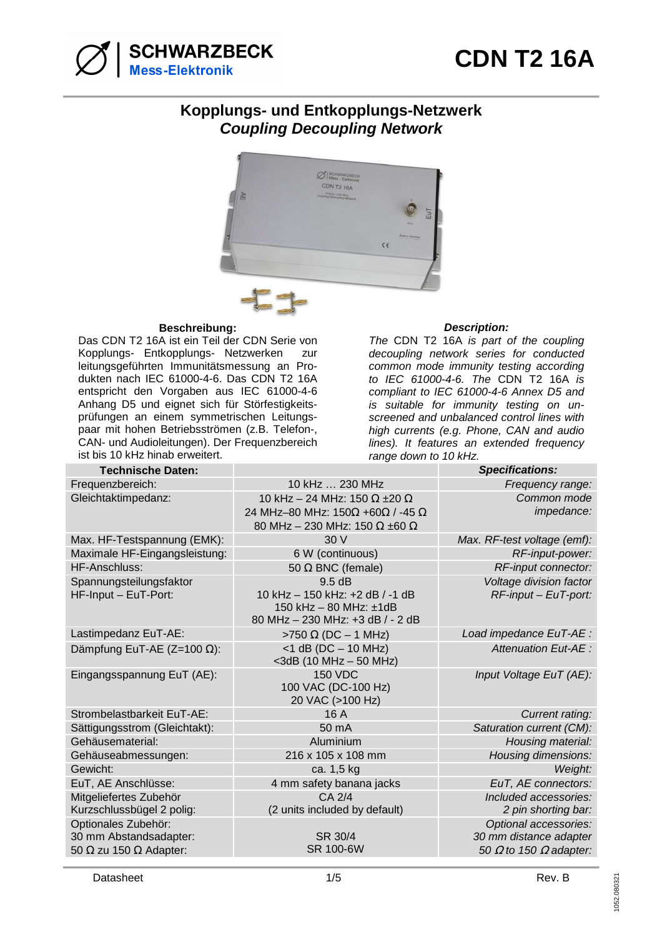

## **Kopplungs- und Entkopplungs-Netzwerk Coupling Decoupling Network**



## **Beschreibung: Description:**

Das CDN T2 16A ist ein Teil der CDN Serie von Kopplungs- Entkopplungs- Netzwerken zur leitungsgeführten Immunitätsmessung an Produkten nach IEC 61000-4-6. Das CDN T2 16A entspricht den Vorgaben aus IEC 61000-4-6 Anhang D5 und eignet sich für Störfestigkeitsprüfungen an einem symmetrischen Leitungspaar mit hohen Betriebsströmen (z.B. Telefon-, CAN- und Audioleitungen). Der Frequenzbereich ist bis 10 kHz hinab erweitert.

The CDN T2 16A is part of the coupling decoupling network series for conducted common mode immunity testing according to IEC 61000-4-6. The CDN T2 16A is compliant to IEC 61000-4-6 Annex D5 and is suitable for immunity testing on unscreened and unbalanced control lines with high currents (e.g. Phone, CAN and audio lines). It features an extended frequency range down to 10 kHz.

| <b>Technische Daten:</b>             |                                               | <b>Specifications:</b>               |
|--------------------------------------|-----------------------------------------------|--------------------------------------|
| Frequenzbereich:                     | 10 kHz  230 MHz                               | Frequency range:                     |
| Gleichtaktimpedanz:                  | 10 kHz - 24 MHz: 150 $\Omega$ ±20 $\Omega$    | Common mode                          |
|                                      | 24 MHz-80 MHz: 150Ω +60Ω / -45 Ω              | impedance:                           |
|                                      | 80 MHz - 230 MHz: 150 $\Omega$ ±60 $\Omega$   |                                      |
| Max. HF-Testspannung (EMK):          | 30V                                           | Max. RF-test voltage (emf):          |
| Maximale HF-Eingangsleistung:        | 6 W (continuous)                              | RF-input-power:                      |
| HF-Anschluss:                        | 50 $\Omega$ BNC (female)                      | RF-input connector:                  |
| Spannungsteilungsfaktor              | 9.5dB                                         | Voltage division factor              |
| HF-Input - EuT-Port:                 | 10 kHz - 150 kHz: +2 dB / -1 dB               | $RF$ -input – EuT-port:              |
|                                      | 150 kHz - 80 MHz: ±1dB                        |                                      |
|                                      | 80 MHz - 230 MHz: +3 dB / - 2 dB              |                                      |
| Lastimpedanz EuT-AE:                 | >750 $\Omega$ (DC - 1 MHz)                    | Load impedance EuT-AE :              |
| Dämpfung EuT-AE (Z=100 $\Omega$ ):   | $<$ 1 dB (DC $-$ 10 MHz)                      | <b>Attenuation Eut-AE:</b>           |
|                                      | $<$ 3dB (10 MHz $-$ 50 MHz)<br><b>150 VDC</b> |                                      |
| Eingangsspannung EuT (AE):           | 100 VAC (DC-100 Hz)                           | Input Voltage EuT (AE):              |
|                                      | 20 VAC (>100 Hz)                              |                                      |
| Strombelastbarkeit EuT-AE:           | 16 A                                          | Current rating:                      |
| Sättigungsstrom (Gleichtakt):        | 50 mA                                         | Saturation current (CM):             |
| Gehäusematerial:                     | Aluminium                                     | Housing material:                    |
| Gehäuseabmessungen:                  | 216 x 105 x 108 mm                            | Housing dimensions:                  |
| Gewicht:                             | ca. 1,5 kg                                    | Weight:                              |
| EuT, AE Anschlüsse:                  | 4 mm safety banana jacks                      | EuT, AE connectors:                  |
| Mitgeliefertes Zubehör               | CA 2/4                                        | Included accessories:                |
| Kurzschlussbügel 2 polig:            | (2 units included by default)                 | 2 pin shorting bar:                  |
| Optionales Zubehör:                  |                                               | Optional accessories:                |
| 30 mm Abstandsadapter:               | SR 30/4                                       | 30 mm distance adapter               |
| 50 $\Omega$ zu 150 $\Omega$ Adapter: | SR 100-6W                                     | 50 $\Omega$ to 150 $\Omega$ adapter: |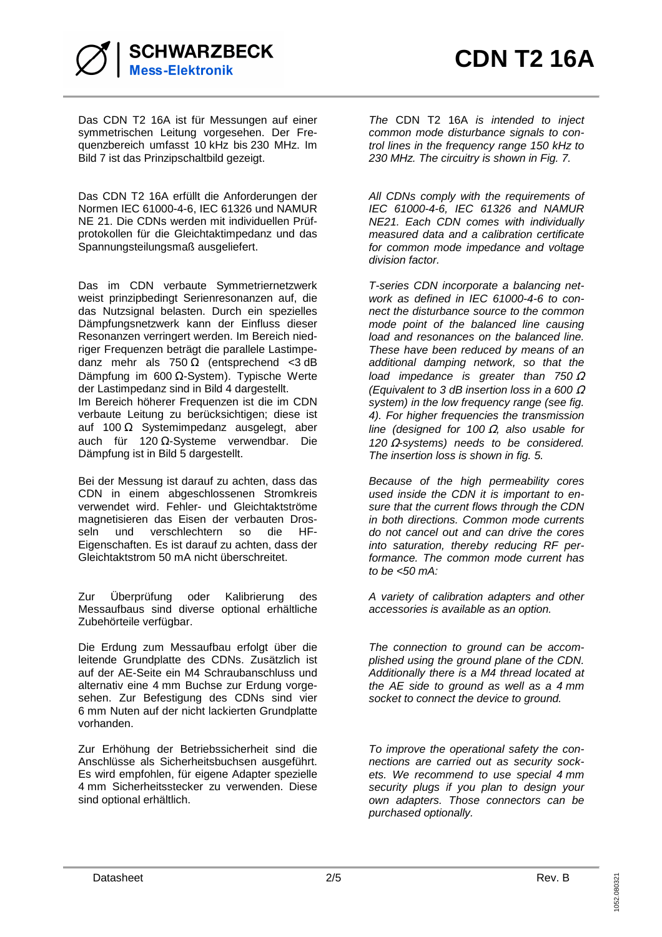

Das CDN T2 16A ist für Messungen auf einer symmetrischen Leitung vorgesehen. Der Frequenzbereich umfasst 10 kHz bis 230 MHz. Im Bild 7 ist das Prinzipschaltbild gezeigt.

Das CDN T2 16A erfüllt die Anforderungen der Normen IEC 61000-4-6, IEC 61326 und NAMUR NE 21. Die CDNs werden mit individuellen Prüfprotokollen für die Gleichtaktimpedanz und das Spannungsteilungsmaß ausgeliefert.

Das im CDN verbaute Symmetriernetzwerk weist prinzipbedingt Serienresonanzen auf, die das Nutzsignal belasten. Durch ein spezielles Dämpfungsnetzwerk kann der Einfluss dieser Resonanzen verringert werden. Im Bereich niedriger Frequenzen beträgt die parallele Lastimpedanz mehr als 750  $\Omega$  (entsprechend <3 dB Dämpfung im 600 Ω-System). Typische Werte der Lastimpedanz sind in Bild 4 dargestellt. Im Bereich höherer Frequenzen ist die im CDN verbaute Leitung zu berücksichtigen; diese ist auf 100  $\Omega$  Systemimpedanz ausgelegt, aber auch für 120 Ω-Systeme verwendbar. Die Dämpfung ist in Bild 5 dargestellt.

Bei der Messung ist darauf zu achten, dass das CDN in einem abgeschlossenen Stromkreis verwendet wird. Fehler- und Gleichtaktströme magnetisieren das Eisen der verbauten Drosseln und verschlechtern so die HF-Eigenschaften. Es ist darauf zu achten, dass der Gleichtaktstrom 50 mA nicht überschreitet.

Zur Überprüfung oder Kalibrierung des Messaufbaus sind diverse optional erhältliche Zubehörteile verfügbar.

Die Erdung zum Messaufbau erfolgt über die leitende Grundplatte des CDNs. Zusätzlich ist auf der AE-Seite ein M4 Schraubanschluss und alternativ eine 4 mm Buchse zur Erdung vorgesehen. Zur Befestigung des CDNs sind vier 6 mm Nuten auf der nicht lackierten Grundplatte vorhanden.

Zur Erhöhung der Betriebssicherheit sind die Anschlüsse als Sicherheitsbuchsen ausgeführt. Es wird empfohlen, für eigene Adapter spezielle 4 mm Sicherheitsstecker zu verwenden. Diese sind optional erhältlich.

The CDN T2 16A is intended to inject common mode disturbance signals to control lines in the frequency range 150 kHz to 230 MHz. The circuitry is shown in Fig. 7.

All CDNs comply with the requirements of IEC 61000-4-6, IEC 61326 and NAMUR NE21. Each CDN comes with individually measured data and a calibration certificate for common mode impedance and voltage division factor.

T-series CDN incorporate a balancing network as defined in IEC 61000-4-6 to connect the disturbance source to the common mode point of the balanced line causing load and resonances on the balanced line. These have been reduced by means of an additional damping network, so that the load impedance is greater than  $750 \Omega$ (Equivalent to 3 dB insertion loss in a 600  $\Omega$ system) in the low frequency range (see fig. 4). For higher frequencies the transmission line (designed for 100  $\Omega$ , also usable for 120  $\Omega$ -systems) needs to be considered. The insertion loss is shown in fig. 5.

Because of the high permeability cores used inside the CDN it is important to ensure that the current flows through the CDN in both directions. Common mode currents do not cancel out and can drive the cores into saturation, thereby reducing RF performance. The common mode current has to be  $<50$  mA:

A variety of calibration adapters and other accessories is available as an option.

The connection to ground can be accomplished using the ground plane of the CDN. Additionally there is a M4 thread located at the AE side to ground as well as a 4 mm socket to connect the device to ground.

To improve the operational safety the connections are carried out as security sockets. We recommend to use special 4 mm security plugs if you plan to design your own adapters. Those connectors can be purchased optionally.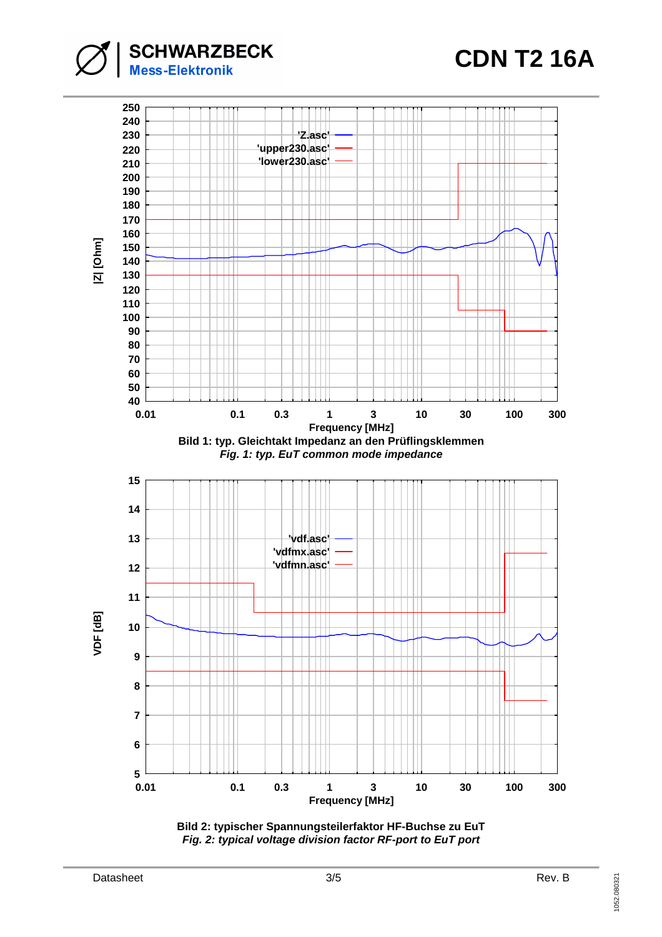**CDN T2 16A**





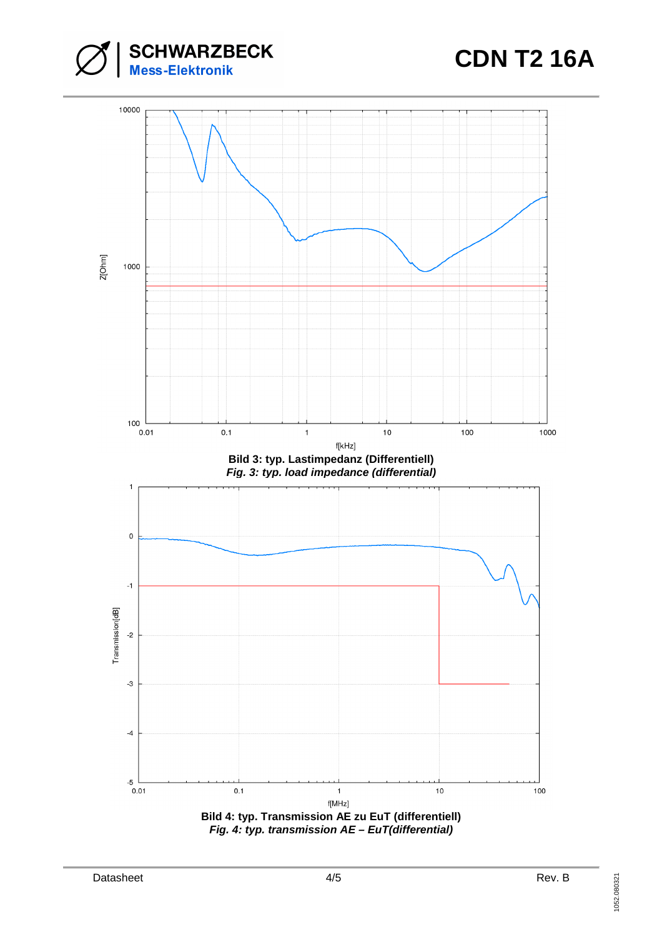